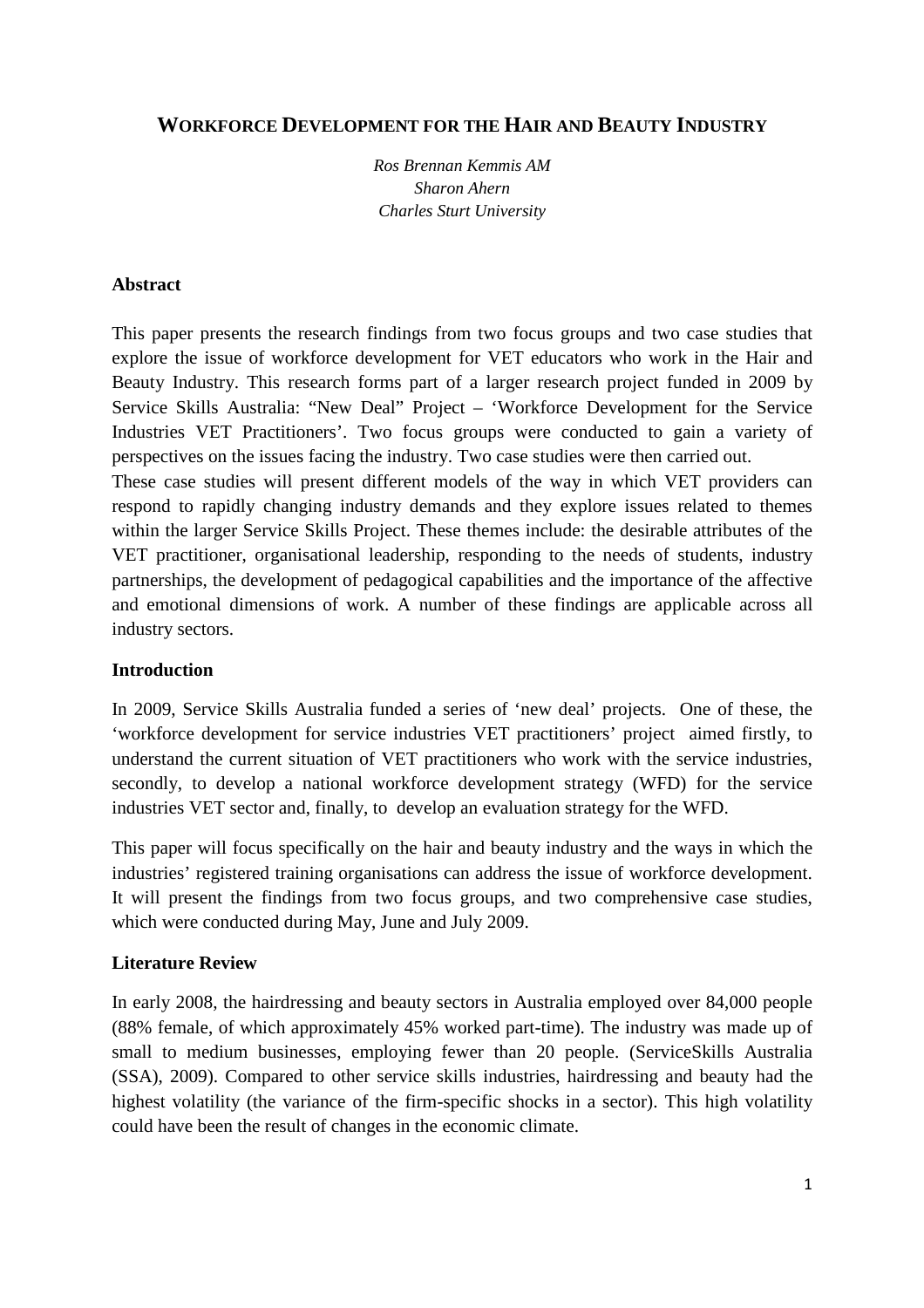## **WORKFORCE DEVELOPMENT FOR THE HAIR AND BEAUTY INDUSTRY**

*Ros Brennan Kemmis AM Sharon Ahern Charles Sturt University* 

### **Abstract**

This paper presents the research findings from two focus groups and two case studies that explore the issue of workforce development for VET educators who work in the Hair and Beauty Industry. This research forms part of a larger research project funded in 2009 by Service Skills Australia: "New Deal" Project – 'Workforce Development for the Service Industries VET Practitioners'. Two focus groups were conducted to gain a variety of perspectives on the issues facing the industry. Two case studies were then carried out.

These case studies will present different models of the way in which VET providers can respond to rapidly changing industry demands and they explore issues related to themes within the larger Service Skills Project. These themes include: the desirable attributes of the VET practitioner, organisational leadership, responding to the needs of students, industry partnerships, the development of pedagogical capabilities and the importance of the affective and emotional dimensions of work. A number of these findings are applicable across all industry sectors.

## **Introduction**

In 2009, Service Skills Australia funded a series of 'new deal' projects. One of these, the 'workforce development for service industries VET practitioners' project aimed firstly, to understand the current situation of VET practitioners who work with the service industries, secondly, to develop a national workforce development strategy (WFD) for the service industries VET sector and, finally, to develop an evaluation strategy for the WFD.

This paper will focus specifically on the hair and beauty industry and the ways in which the industries' registered training organisations can address the issue of workforce development. It will present the findings from two focus groups, and two comprehensive case studies, which were conducted during May, June and July 2009.

## **Literature Review**

In early 2008, the hairdressing and beauty sectors in Australia employed over 84,000 people (88% female, of which approximately 45% worked part-time). The industry was made up of small to medium businesses, employing fewer than 20 people. (ServiceSkills Australia (SSA), 2009). Compared to other service skills industries, hairdressing and beauty had the highest volatility (the variance of the firm-specific shocks in a sector). This high volatility could have been the result of changes in the economic climate.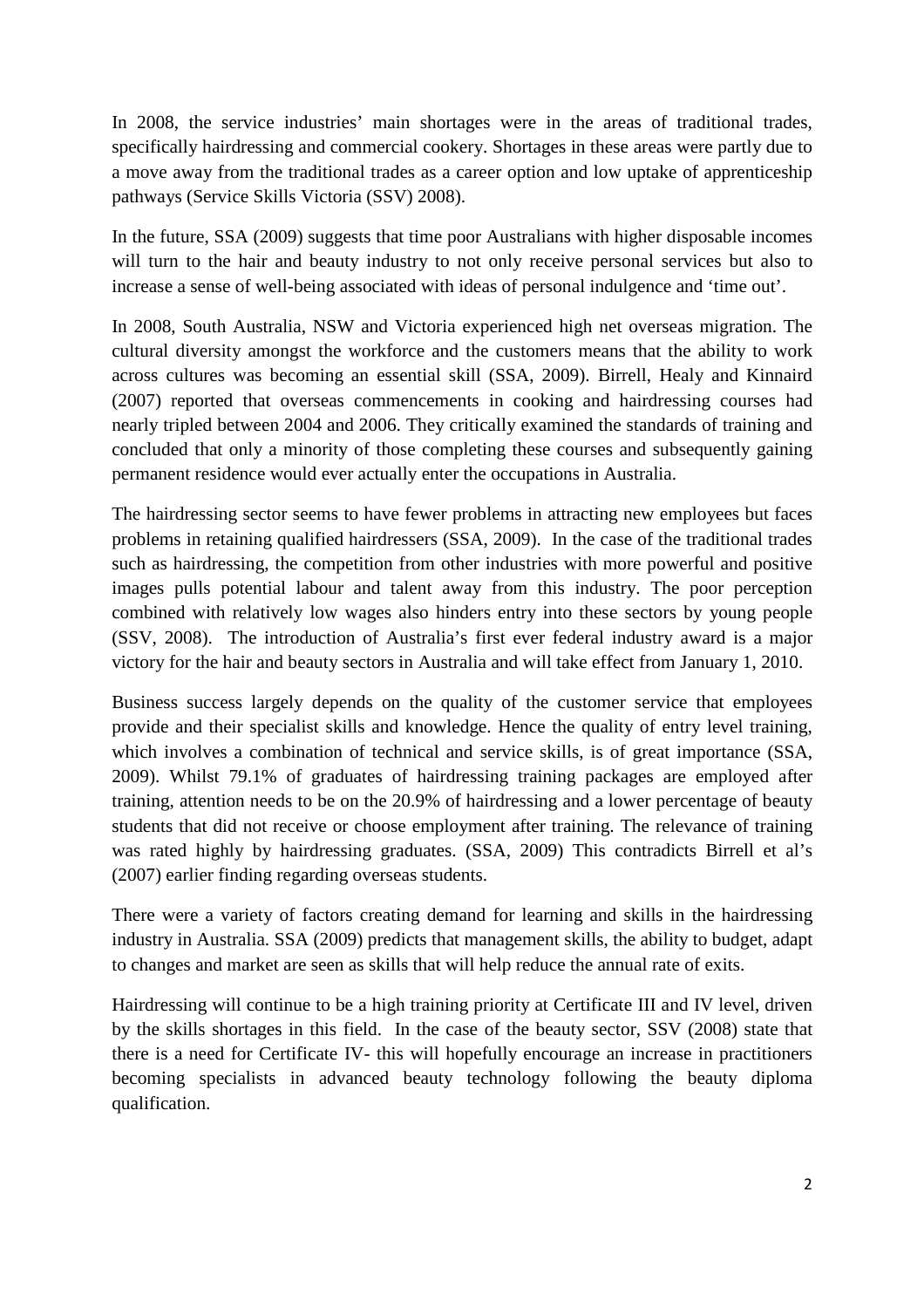In 2008, the service industries' main shortages were in the areas of traditional trades, specifically hairdressing and commercial cookery. Shortages in these areas were partly due to a move away from the traditional trades as a career option and low uptake of apprenticeship pathways (Service Skills Victoria (SSV) 2008).

In the future, SSA (2009) suggests that time poor Australians with higher disposable incomes will turn to the hair and beauty industry to not only receive personal services but also to increase a sense of well-being associated with ideas of personal indulgence and 'time out'.

In 2008, South Australia, NSW and Victoria experienced high net overseas migration. The cultural diversity amongst the workforce and the customers means that the ability to work across cultures was becoming an essential skill (SSA, 2009). Birrell, Healy and Kinnaird (2007) reported that overseas commencements in cooking and hairdressing courses had nearly tripled between 2004 and 2006. They critically examined the standards of training and concluded that only a minority of those completing these courses and subsequently gaining permanent residence would ever actually enter the occupations in Australia.

The hairdressing sector seems to have fewer problems in attracting new employees but faces problems in retaining qualified hairdressers (SSA, 2009). In the case of the traditional trades such as hairdressing, the competition from other industries with more powerful and positive images pulls potential labour and talent away from this industry. The poor perception combined with relatively low wages also hinders entry into these sectors by young people (SSV, 2008). The introduction of Australia's first ever federal industry award is a major victory for the hair and beauty sectors in Australia and will take effect from January 1, 2010.

Business success largely depends on the quality of the customer service that employees provide and their specialist skills and knowledge. Hence the quality of entry level training, which involves a combination of technical and service skills, is of great importance (SSA, 2009). Whilst 79.1% of graduates of hairdressing training packages are employed after training, attention needs to be on the 20.9% of hairdressing and a lower percentage of beauty students that did not receive or choose employment after training. The relevance of training was rated highly by hairdressing graduates. (SSA, 2009) This contradicts Birrell et al's (2007) earlier finding regarding overseas students.

There were a variety of factors creating demand for learning and skills in the hairdressing industry in Australia. SSA (2009) predicts that management skills, the ability to budget, adapt to changes and market are seen as skills that will help reduce the annual rate of exits.

Hairdressing will continue to be a high training priority at Certificate III and IV level, driven by the skills shortages in this field. In the case of the beauty sector, SSV (2008) state that there is a need for Certificate IV- this will hopefully encourage an increase in practitioners becoming specialists in advanced beauty technology following the beauty diploma qualification.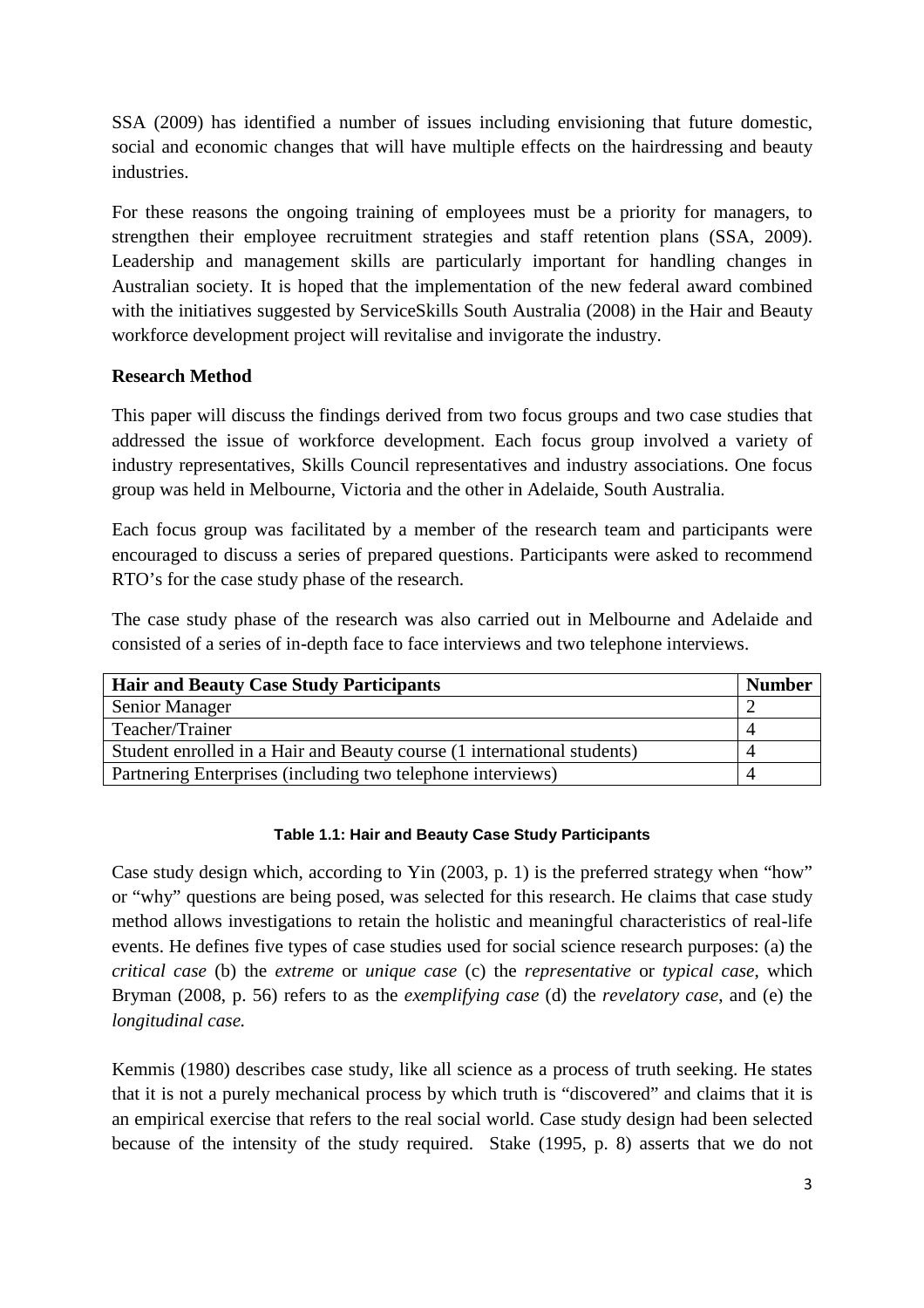SSA (2009) has identified a number of issues including envisioning that future domestic, social and economic changes that will have multiple effects on the hairdressing and beauty industries.

For these reasons the ongoing training of employees must be a priority for managers, to strengthen their employee recruitment strategies and staff retention plans (SSA, 2009). Leadership and management skills are particularly important for handling changes in Australian society. It is hoped that the implementation of the new federal award combined with the initiatives suggested by ServiceSkills South Australia (2008) in the Hair and Beauty workforce development project will revitalise and invigorate the industry.

## **Research Method**

This paper will discuss the findings derived from two focus groups and two case studies that addressed the issue of workforce development. Each focus group involved a variety of industry representatives, Skills Council representatives and industry associations. One focus group was held in Melbourne, Victoria and the other in Adelaide, South Australia.

Each focus group was facilitated by a member of the research team and participants were encouraged to discuss a series of prepared questions. Participants were asked to recommend RTO's for the case study phase of the research.

The case study phase of the research was also carried out in Melbourne and Adelaide and consisted of a series of in-depth face to face interviews and two telephone interviews.

| <b>Hair and Beauty Case Study Participants</b>                          | <b>Number</b> |
|-------------------------------------------------------------------------|---------------|
| Senior Manager                                                          |               |
| Teacher/Trainer                                                         |               |
| Student enrolled in a Hair and Beauty course (1 international students) |               |
| Partnering Enterprises (including two telephone interviews)             |               |

#### **Table 1.1: Hair and Beauty Case Study Participants**

Case study design which, according to Yin (2003, p. 1) is the preferred strategy when "how" or "why" questions are being posed, was selected for this research. He claims that case study method allows investigations to retain the holistic and meaningful characteristics of real-life events. He defines five types of case studies used for social science research purposes: (a) the *critical case* (b) the *extreme* or *unique case* (c) the *representative* or *typical case*, which Bryman (2008, p. 56) refers to as the *exemplifying case* (d) the *revelatory case*, and (e) the *longitudinal case.* 

Kemmis (1980) describes case study, like all science as a process of truth seeking. He states that it is not a purely mechanical process by which truth is "discovered" and claims that it is an empirical exercise that refers to the real social world. Case study design had been selected because of the intensity of the study required. Stake (1995, p. 8) asserts that we do not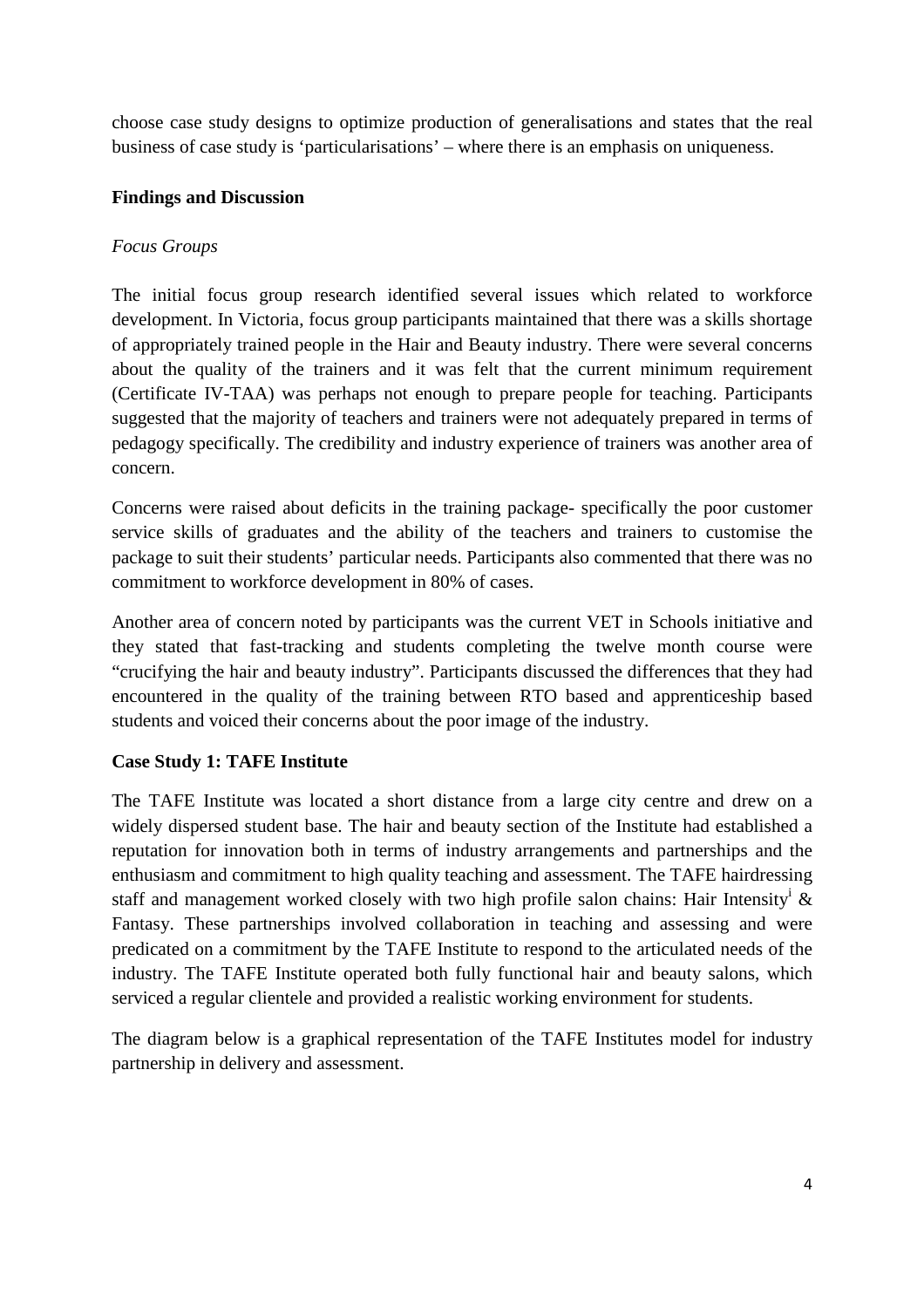choose case study designs to optimize production of generalisations and states that the real business of case study is 'particularisations' – where there is an emphasis on uniqueness.

## **Findings and Discussion**

### *Focus Groups*

The initial focus group research identified several issues which related to workforce development. In Victoria, focus group participants maintained that there was a skills shortage of appropriately trained people in the Hair and Beauty industry. There were several concerns about the quality of the trainers and it was felt that the current minimum requirement (Certificate IV-TAA) was perhaps not enough to prepare people for teaching. Participants suggested that the majority of teachers and trainers were not adequately prepared in terms of pedagogy specifically. The credibility and industry experience of trainers was another area of concern.

Concerns were raised about deficits in the training package- specifically the poor customer service skills of graduates and the ability of the teachers and trainers to customise the package to suit their students' particular needs. Participants also commented that there was no commitment to workforce development in 80% of cases.

Another area of concern noted by participants was the current VET in Schools initiative and they stated that fast-tracking and students completing the twelve month course were "crucifying the hair and beauty industry". Participants discussed the differences that they had encountered in the quality of the training between RTO based and apprenticeship based students and voiced their concerns about the poor image of the industry.

## **Case Study 1: TAFE Institute**

The TAFE Institute was located a short distance from a large city centre and drew on a widely dispersed student base. The hair and beauty section of the Institute had established a reputation for innovation both in terms of industry arrangements and partnerships and the enthusiasm and commitment to high quality teaching and assessment. The TAFE hairdressing staff and management worked closely with two high profile salon chains: Hair Intensity<sup>i</sup> & Fantasy. These partnerships involved collaboration in teaching and assessing and were predicated on a commitment by the TAFE Institute to respond to the articulated needs of the industry. The TAFE Institute operated both fully functional hair and beauty salons, which serviced a regular clientele and provided a realistic working environment for students.

The diagram below is a graphical representation of the TAFE Institutes model for industry partnership in delivery and assessment.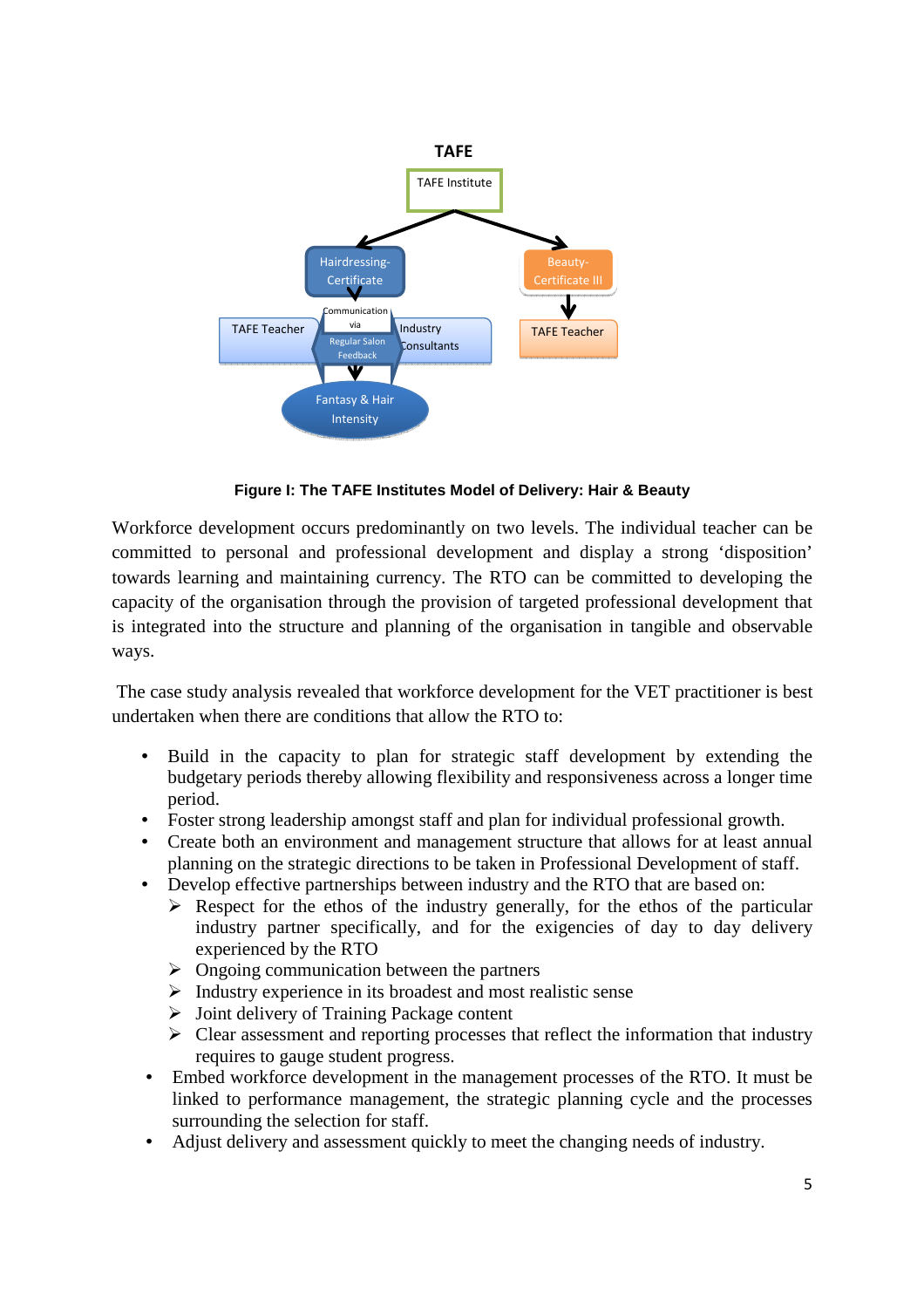

**Figure I: The TAFE Institutes Model of Delivery: Hair & Beauty** 

Workforce development occurs predominantly on two levels. The individual teacher can be committed to personal and professional development and display a strong 'disposition' towards learning and maintaining currency. The RTO can be committed to developing the capacity of the organisation through the provision of targeted professional development that is integrated into the structure and planning of the organisation in tangible and observable ways.

 The case study analysis revealed that workforce development for the VET practitioner is best undertaken when there are conditions that allow the RTO to:

- Build in the capacity to plan for strategic staff development by extending the budgetary periods thereby allowing flexibility and responsiveness across a longer time period.
- Foster strong leadership amongst staff and plan for individual professional growth.
- Create both an environment and management structure that allows for at least annual planning on the strategic directions to be taken in Professional Development of staff.
- Develop effective partnerships between industry and the RTO that are based on:
	- $\triangleright$  Respect for the ethos of the industry generally, for the ethos of the particular industry partner specifically, and for the exigencies of day to day delivery experienced by the RTO
	- $\triangleright$  Ongoing communication between the partners
	- $\triangleright$  Industry experience in its broadest and most realistic sense
	- $\triangleright$  Joint delivery of Training Package content
	- Clear assessment and reporting processes that reflect the information that industry requires to gauge student progress.
- Embed workforce development in the management processes of the RTO. It must be linked to performance management, the strategic planning cycle and the processes surrounding the selection for staff.
- Adjust delivery and assessment quickly to meet the changing needs of industry.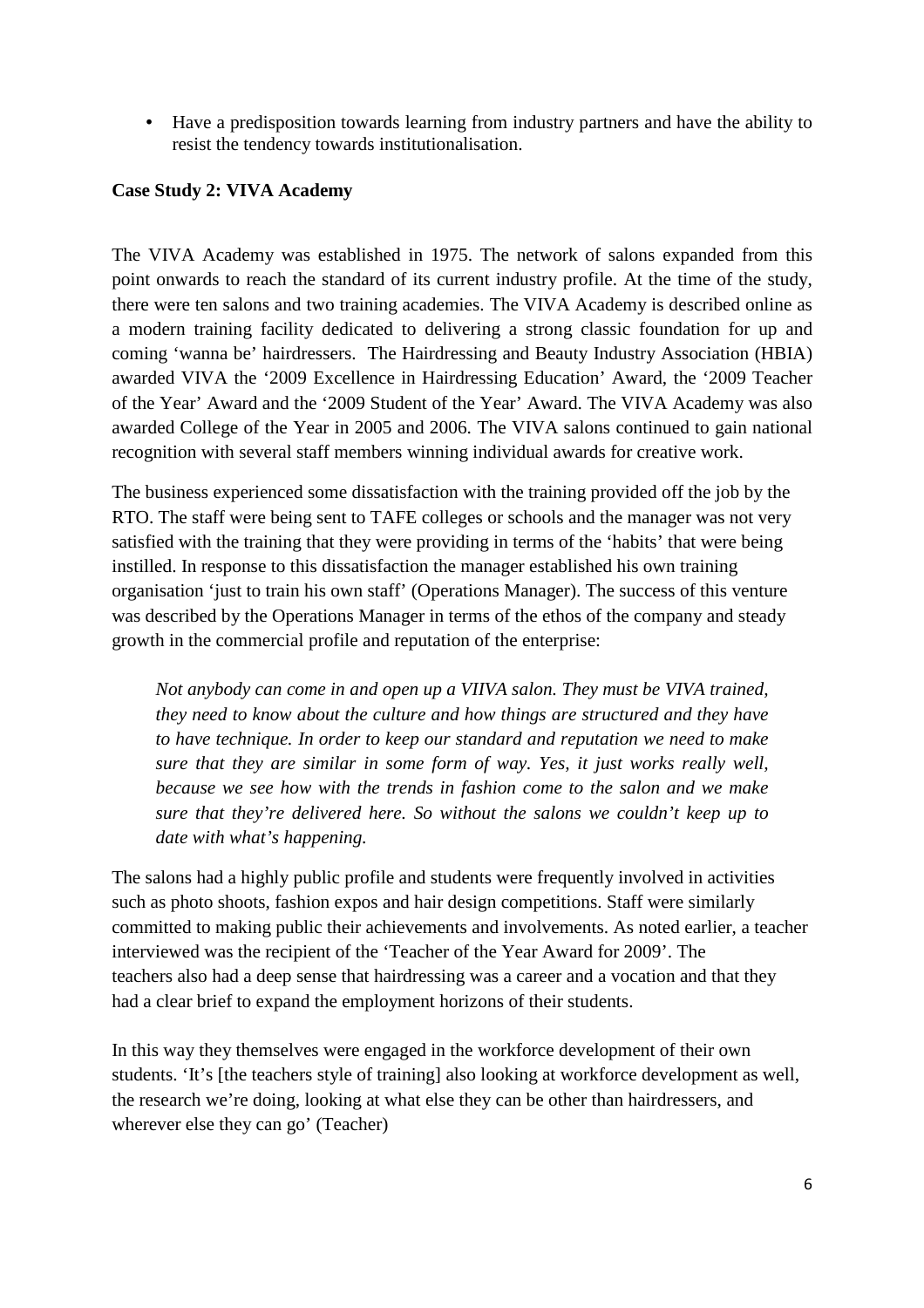• Have a predisposition towards learning from industry partners and have the ability to resist the tendency towards institutionalisation.

## **Case Study 2: VIVA Academy**

The VIVA Academy was established in 1975. The network of salons expanded from this point onwards to reach the standard of its current industry profile. At the time of the study, there were ten salons and two training academies. The VIVA Academy is described online as a modern training facility dedicated to delivering a strong classic foundation for up and coming 'wanna be' hairdressers. The Hairdressing and Beauty Industry Association (HBIA) awarded VIVA the '2009 Excellence in Hairdressing Education' Award, the '2009 Teacher of the Year' Award and the '2009 Student of the Year' Award. The VIVA Academy was also awarded College of the Year in 2005 and 2006. The VIVA salons continued to gain national recognition with several staff members winning individual awards for creative work.

The business experienced some dissatisfaction with the training provided off the job by the RTO. The staff were being sent to TAFE colleges or schools and the manager was not very satisfied with the training that they were providing in terms of the 'habits' that were being instilled. In response to this dissatisfaction the manager established his own training organisation 'just to train his own staff' (Operations Manager). The success of this venture was described by the Operations Manager in terms of the ethos of the company and steady growth in the commercial profile and reputation of the enterprise:

 *Not anybody can come in and open up a VIIVA salon. They must be VIVA trained, they need to know about the culture and how things are structured and they have to have technique. In order to keep our standard and reputation we need to make sure that they are similar in some form of way. Yes, it just works really well, because we see how with the trends in fashion come to the salon and we make sure that they're delivered here. So without the salons we couldn't keep up to date with what's happening.*

The salons had a highly public profile and students were frequently involved in activities such as photo shoots, fashion expos and hair design competitions. Staff were similarly committed to making public their achievements and involvements. As noted earlier, a teacher interviewed was the recipient of the 'Teacher of the Year Award for 2009'. The teachers also had a deep sense that hairdressing was a career and a vocation and that they had a clear brief to expand the employment horizons of their students.

In this way they themselves were engaged in the workforce development of their own students. 'It's [the teachers style of training] also looking at workforce development as well, the research we're doing, looking at what else they can be other than hairdressers, and wherever else they can go' (Teacher)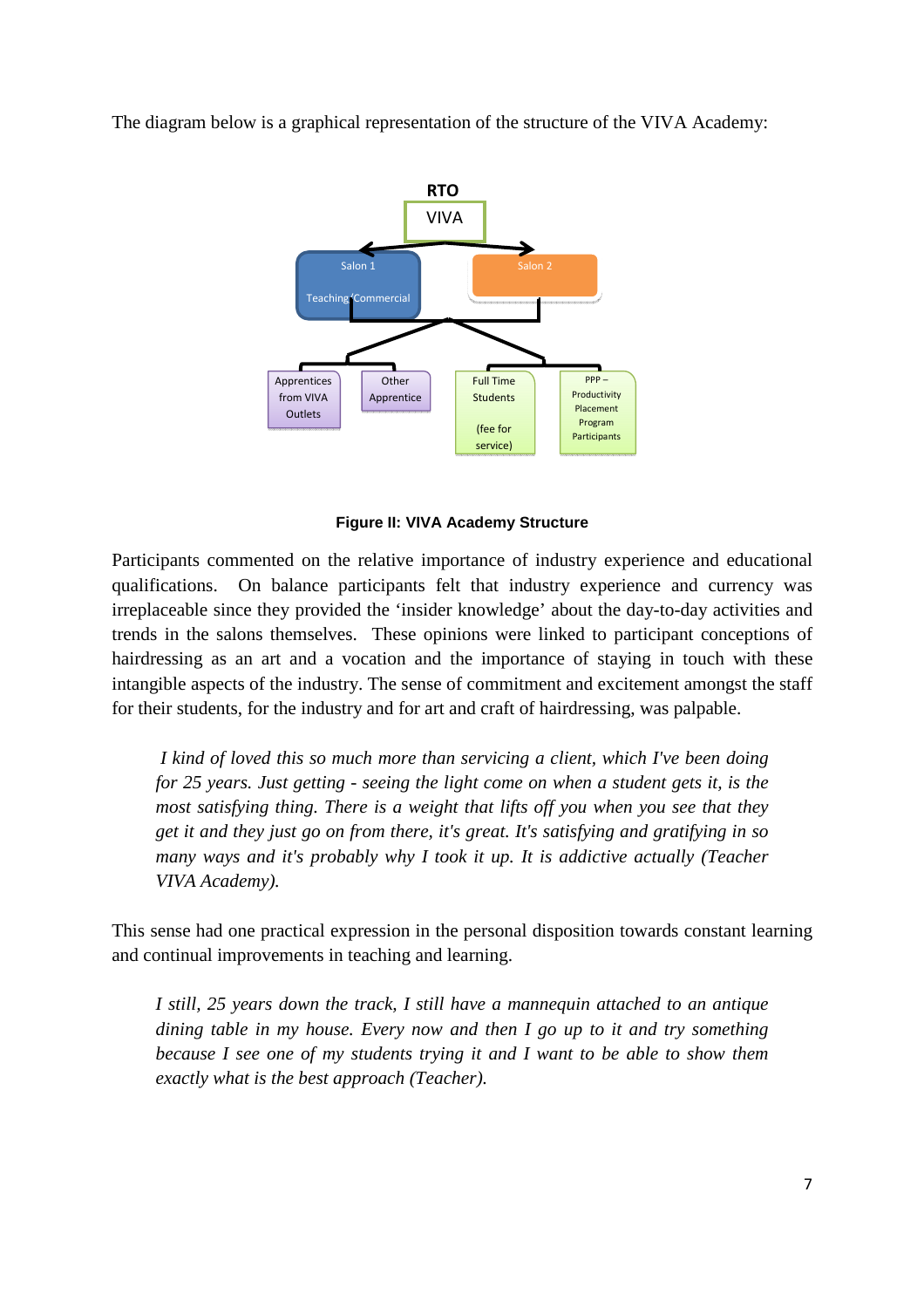The diagram below is a graphical representation of the structure of the VIVA Academy:



**Figure II: VIVA Academy Structure** 

Participants commented on the relative importance of industry experience and educational qualifications. On balance participants felt that industry experience and currency was irreplaceable since they provided the 'insider knowledge' about the day-to-day activities and trends in the salons themselves. These opinions were linked to participant conceptions of hairdressing as an art and a vocation and the importance of staying in touch with these intangible aspects of the industry. The sense of commitment and excitement amongst the staff for their students, for the industry and for art and craft of hairdressing, was palpable.

 *I kind of loved this so much more than servicing a client, which I've been doing for 25 years. Just getting - seeing the light come on when a student gets it, is the most satisfying thing. There is a weight that lifts off you when you see that they get it and they just go on from there, it's great. It's satisfying and gratifying in so many ways and it's probably why I took it up. It is addictive actually (Teacher VIVA Academy).* 

This sense had one practical expression in the personal disposition towards constant learning and continual improvements in teaching and learning.

*I still, 25 years down the track, I still have a mannequin attached to an antique dining table in my house. Every now and then I go up to it and try something because I see one of my students trying it and I want to be able to show them exactly what is the best approach (Teacher).*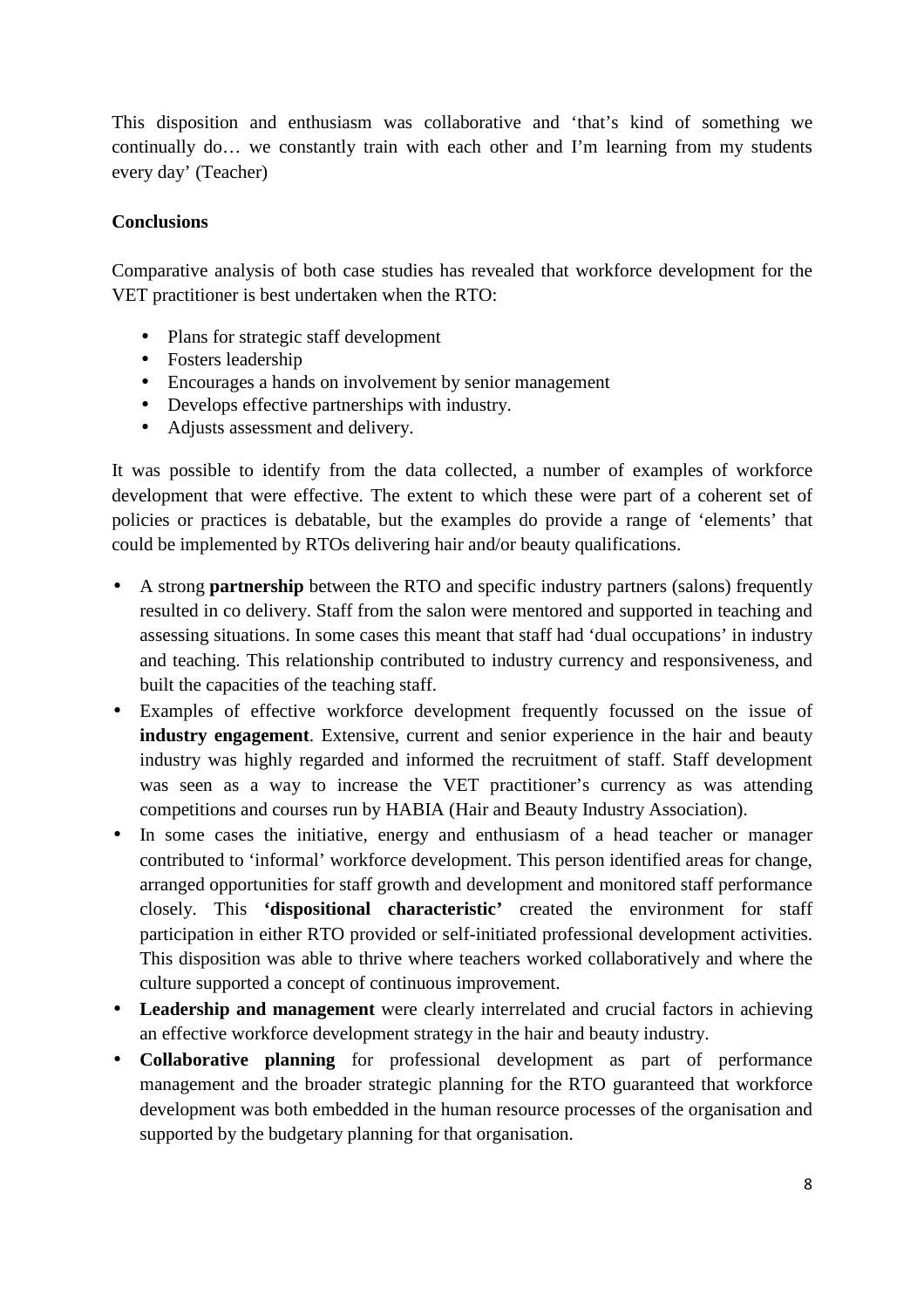This disposition and enthusiasm was collaborative and 'that's kind of something we continually do… we constantly train with each other and I'm learning from my students every day' (Teacher)

## **Conclusions**

Comparative analysis of both case studies has revealed that workforce development for the VET practitioner is best undertaken when the RTO:

- Plans for strategic staff development
- Fosters leadership
- Encourages a hands on involvement by senior management
- Develops effective partnerships with industry.
- Adjusts assessment and delivery.

It was possible to identify from the data collected, a number of examples of workforce development that were effective. The extent to which these were part of a coherent set of policies or practices is debatable, but the examples do provide a range of 'elements' that could be implemented by RTOs delivering hair and/or beauty qualifications.

- A strong **partnership** between the RTO and specific industry partners (salons) frequently resulted in co delivery. Staff from the salon were mentored and supported in teaching and assessing situations. In some cases this meant that staff had 'dual occupations' in industry and teaching. This relationship contributed to industry currency and responsiveness, and built the capacities of the teaching staff.
- Examples of effective workforce development frequently focussed on the issue of **industry engagement**. Extensive, current and senior experience in the hair and beauty industry was highly regarded and informed the recruitment of staff. Staff development was seen as a way to increase the VET practitioner's currency as was attending competitions and courses run by HABIA (Hair and Beauty Industry Association).
- In some cases the initiative, energy and enthusiasm of a head teacher or manager contributed to 'informal' workforce development. This person identified areas for change, arranged opportunities for staff growth and development and monitored staff performance closely. This **'dispositional characteristic'** created the environment for staff participation in either RTO provided or self-initiated professional development activities. This disposition was able to thrive where teachers worked collaboratively and where the culture supported a concept of continuous improvement.
- **Leadership and management** were clearly interrelated and crucial factors in achieving an effective workforce development strategy in the hair and beauty industry.
- **Collaborative planning** for professional development as part of performance management and the broader strategic planning for the RTO guaranteed that workforce development was both embedded in the human resource processes of the organisation and supported by the budgetary planning for that organisation.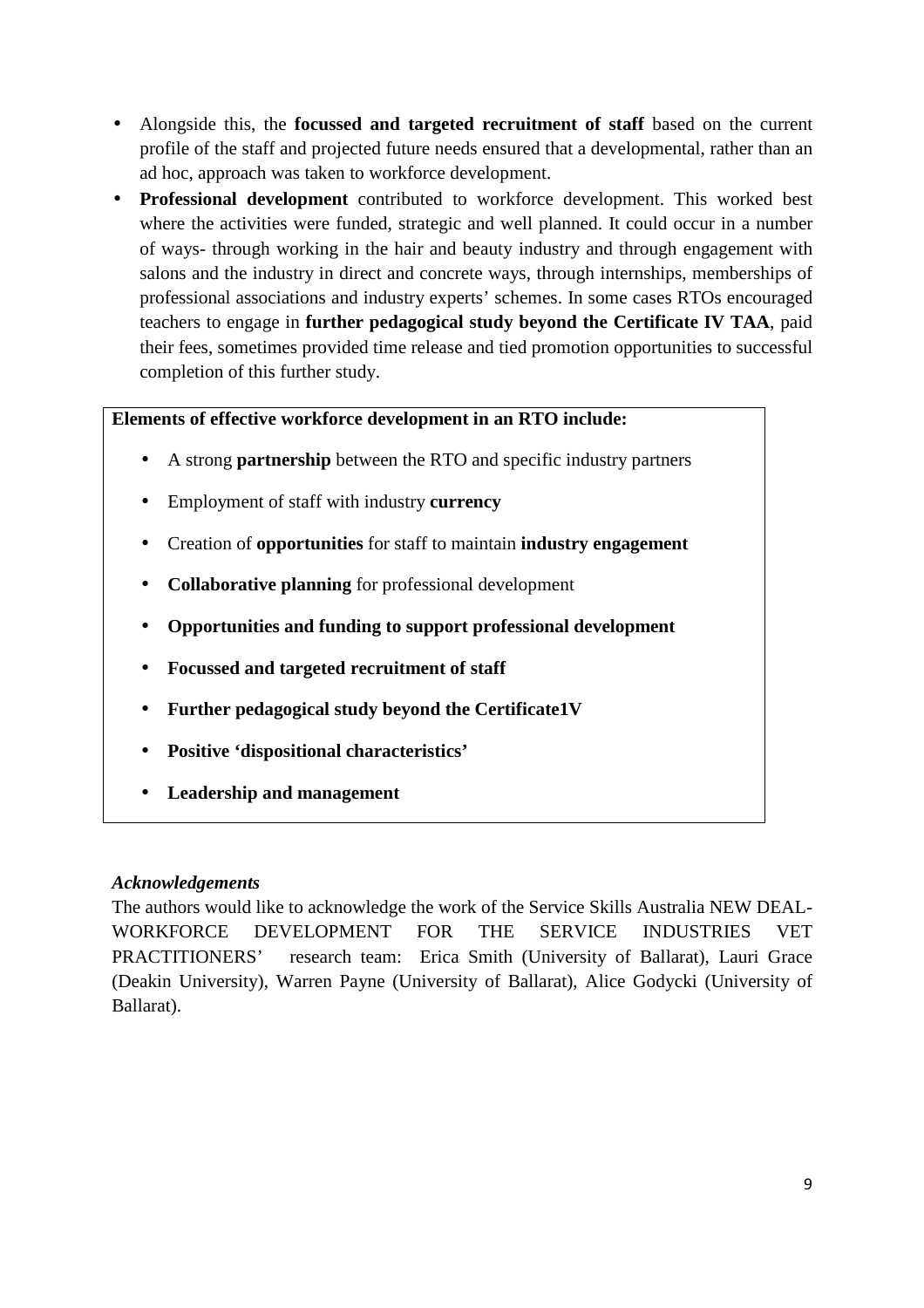- Alongside this, the **focussed and targeted recruitment of staff** based on the current profile of the staff and projected future needs ensured that a developmental, rather than an ad hoc, approach was taken to workforce development.
- **Professional development** contributed to workforce development. This worked best where the activities were funded, strategic and well planned. It could occur in a number of ways- through working in the hair and beauty industry and through engagement with salons and the industry in direct and concrete ways, through internships, memberships of professional associations and industry experts' schemes. In some cases RTOs encouraged teachers to engage in **further pedagogical study beyond the Certificate IV TAA**, paid their fees, sometimes provided time release and tied promotion opportunities to successful completion of this further study.

# **Elements of effective workforce development in an RTO include:**

- A strong **partnership** between the RTO and specific industry partners
- Employment of staff with industry **currency**
- Creation of **opportunities** for staff to maintain **industry engagement**
- **Collaborative planning** for professional development
- **Opportunities and funding to support professional development**
- **Focussed and targeted recruitment of staff**
- **Further pedagogical study beyond the Certificate1V**
- **Positive 'dispositional characteristics'**
- **Leadership and management**

## *Acknowledgements*

The authors would like to acknowledge the work of the Service Skills Australia NEW DEAL-WORKFORCE DEVELOPMENT FOR THE SERVICE INDUSTRIES VET PRACTITIONERS' research team: Erica Smith (University of Ballarat), Lauri Grace (Deakin University), Warren Payne (University of Ballarat), Alice Godycki (University of Ballarat).